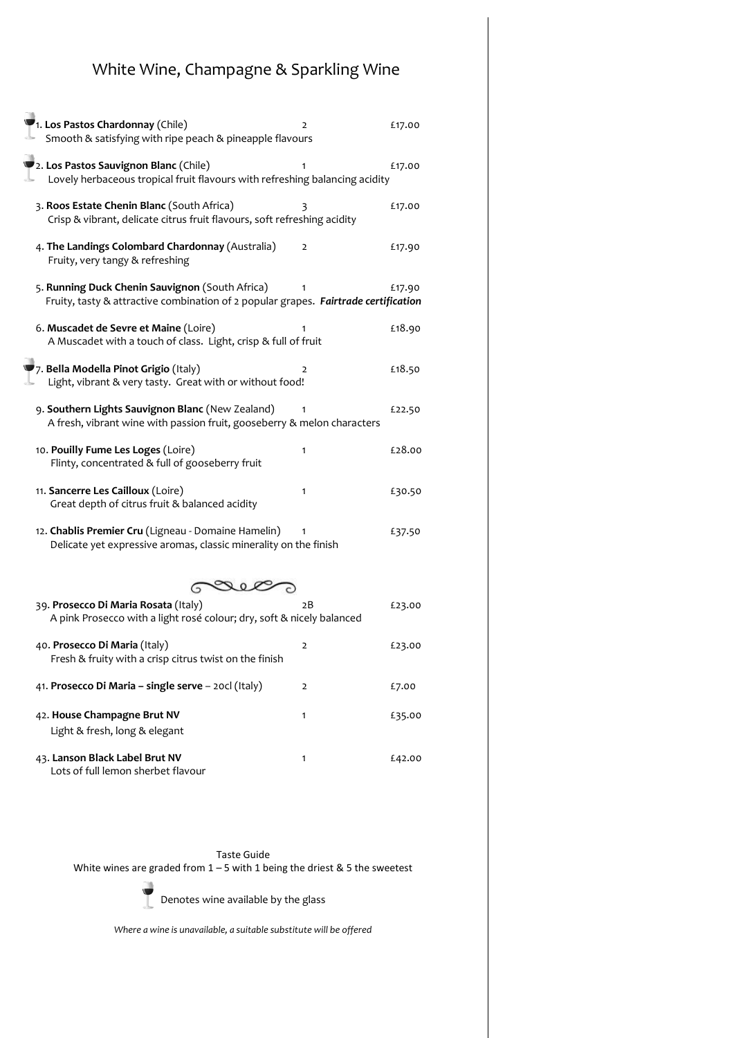## White Wine, Champagne & Sparkling Wine

| 1. Los Pastos Chardonnay (Chile)<br>Smooth & satisfying with ripe peach & pineapple flavours                                           | 2  | £17.00 |
|----------------------------------------------------------------------------------------------------------------------------------------|----|--------|
| 2. Los Pastos Sauvignon Blanc (Chile)<br>Lovely herbaceous tropical fruit flavours with refreshing balancing acidity                   |    | £17.00 |
| 3. Roos Estate Chenin Blanc (South Africa)<br>Crisp & vibrant, delicate citrus fruit flavours, soft refreshing acidity                 | 3  | £17.00 |
| 4. The Landings Colombard Chardonnay (Australia)<br>Fruity, very tangy & refreshing                                                    | 2  | £17.90 |
| 5. Running Duck Chenin Sauvignon (South Africa)<br>Fruity, tasty & attractive combination of 2 popular grapes. Fairtrade certification |    | £17.90 |
| 6. Muscadet de Sevre et Maine (Loire)<br>A Muscadet with a touch of class. Light, crisp & full of fruit                                |    | £18.90 |
| 7. Bella Modella Pinot Grigio (Italy)<br>Light, vibrant & very tasty. Great with or without food!                                      | 2  | £18.50 |
| 9. Southern Lights Sauvignon Blanc (New Zealand)<br>A fresh, vibrant wine with passion fruit, gooseberry & melon characters            |    | £22.50 |
| 10. Pouilly Fume Les Loges (Loire)<br>Flinty, concentrated & full of gooseberry fruit                                                  | 1  | £28.00 |
| 11. Sancerre Les Cailloux (Loire)<br>Great depth of citrus fruit & balanced acidity                                                    | 1  | £30.50 |
| 12. Chablis Premier Cru (Ligneau - Domaine Hamelin)<br>Delicate yet expressive aromas, classic minerality on the finish                |    | £37.50 |
| 202                                                                                                                                    |    |        |
| 39. Prosecco Di Maria Rosata (Italy)<br>A pink Prosecco with a light rosé colour; dry, soft & nicely balanced                          | 2B | £23.00 |
| 40. Prosecco Di Maria (Italy)<br>Fresh & fruity with a crisp citrus twist on the finish                                                | 2  | £23.00 |
| 41. Prosecco Di Maria - single serve - 20cl (Italy)                                                                                    | 2  | £7.00  |
| 42. House Champagne Brut NV<br>Light & fresh, long & elegant                                                                           | 1  | £35.00 |
| 43. Lanson Black Label Brut NV<br>Lots of full lemon sherbet flavour                                                                   | 1  | £42.00 |

Taste Guide

White wines are graded from  $1 - 5$  with 1 being the driest & 5 the sweetest



Denotes wine available by the glass

*Where a wine is unavailable, a suitable substitute will be offered*